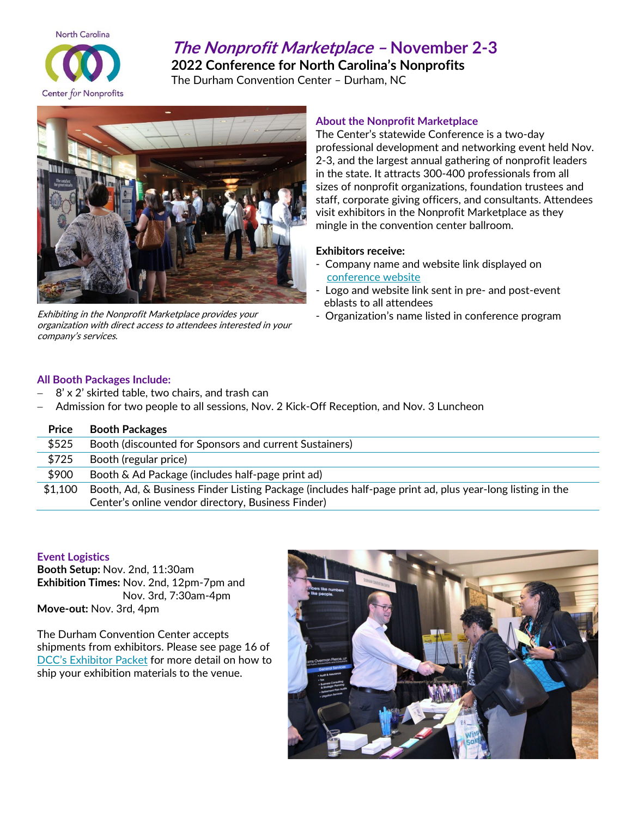

# **The Nonprofit Marketplace – November 2-3**

**2022 Conference for North Carolina's Nonprofits**

The Durham Convention Center – Durham, NC



Exhibiting in the Nonprofit Marketplace provides your organization with direct access to attendees interested in your company's services.

# **About the Nonprofit Marketplace**

The Center's statewide Conference is a two-day professional development and networking event held Nov. 2-3, and the largest annual gathering of nonprofit leaders in the state. It attracts 300-400 professionals from all sizes of nonprofit organizations, foundation trustees and staff, corporate giving officers, and consultants. Attendees visit exhibitors in the Nonprofit Marketplace as they mingle in the convention center ballroom.

## **Exhibitors receive:**

- Company name and website link displayed on [conference website](https://conference.ncnonprofits.org/)
- Logo and website link sent in pre- and post-event eblasts to all attendees
- Organization's name listed in conference program

# **All Booth Packages Include:**

- − 8' x 2' skirted table, two chairs, and trash can
- − Admission for two people to all sessions, Nov. 2 Kick-Off Reception, and Nov. 3 Luncheon

| Price   | <b>Booth Packages</b>                                                                                                                                          |
|---------|----------------------------------------------------------------------------------------------------------------------------------------------------------------|
| \$525   | Booth (discounted for Sponsors and current Sustainers)                                                                                                         |
| \$725   | Booth (regular price)                                                                                                                                          |
| \$900   | Booth & Ad Package (includes half-page print ad)                                                                                                               |
| \$1,100 | Booth, Ad, & Business Finder Listing Package (includes half-page print ad, plus year-long listing in the<br>Center's online vendor directory, Business Finder) |

#### **Event Logistics**

**Booth Setup:** Nov. 2nd, 11:30am **Exhibition Times:** Nov. 2nd, 12pm-7pm and Nov. 3rd, 7:30am-4pm **Move-out:** Nov. 3rd, 4pm

The Durham Convention Center accepts shipments from exhibitors. Please see page 16 of DCC's [Exhibitor Packet](https://www.durhamconventioncenter.com/assets/documents/partials/core_buttons_group/DCC%20Exhibitor%20Packet%202020.pdf) for more detail on how to ship your exhibition materials to the venue.

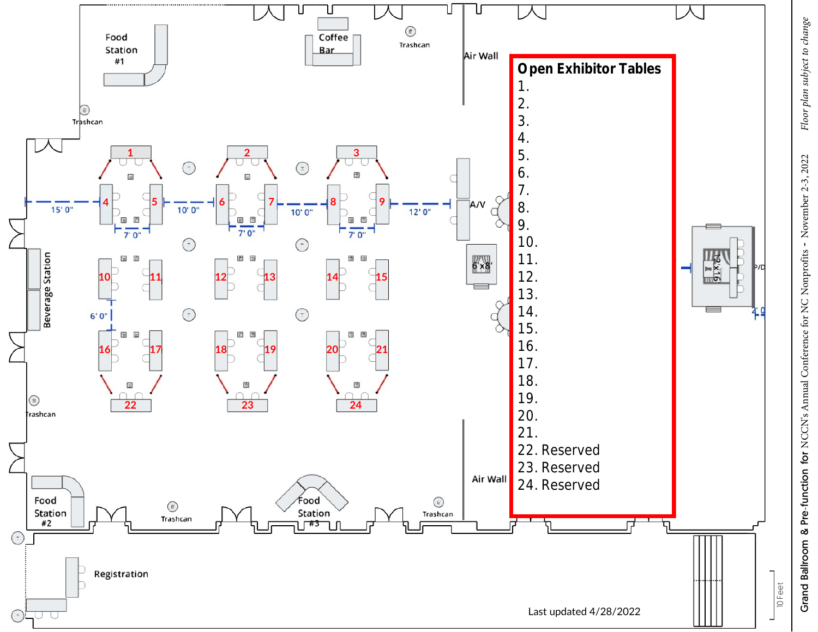

Floor plan subject to change Grand Ballroom & Pre-function for NCCN's Annual Conference for NC Nonprofits - November 2-3, 2022 *Floor plan subject to change* Grand Ballroom & Pre-function for NCCN's Annual Conference for NC Nonprofits - November 2-3, 2022